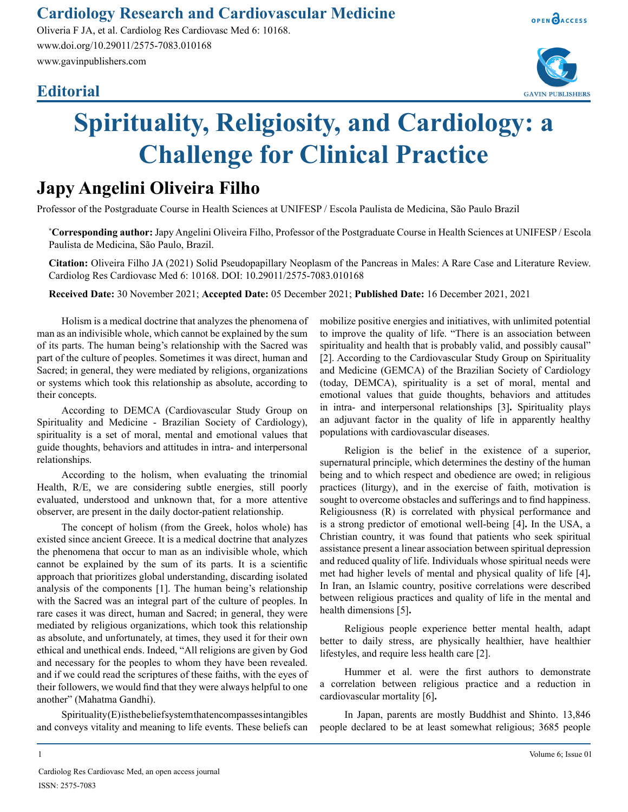### **Cardiology Research and Cardiovascular Medicine**

Oliveria F JA, et al. Cardiolog Res Cardiovasc Med 6: 10168. www.doi.org/10.29011/2575-7083.010168 www.gavinpublishers.com

## **Editorial**





# **Spirituality, Religiosity, and Cardiology: a Challenge for Clinical Practice**

# **Japy Angelini Oliveira Filho**

Professor of the Postgraduate Course in Health Sciences at UNIFESP / Escola Paulista de Medicina, São Paulo Brazil

**\* Corresponding author:** Japy Angelini Oliveira Filho, Professor of the Postgraduate Course in Health Sciences at UNIFESP / Escola Paulista de Medicina, São Paulo, Brazil.

**Citation:** Oliveira Filho JA (2021) Solid Pseudopapillary Neoplasm of the Pancreas in Males: A Rare Case and Literature Review. Cardiolog Res Cardiovasc Med 6: 10168. DOI: 10.29011/2575-7083.010168

**Received Date:** 30 November 2021; **Accepted Date:** 05 December 2021; **Published Date:** 16 December 2021, 2021

Holism is a medical doctrine that analyzes the phenomena of man as an indivisible whole, which cannot be explained by the sum of its parts. The human being's relationship with the Sacred was part of the culture of peoples. Sometimes it was direct, human and Sacred; in general, they were mediated by religions, organizations or systems which took this relationship as absolute, according to their concepts.

According to DEMCA (Cardiovascular Study Group on Spirituality and Medicine - Brazilian Society of Cardiology), spirituality is a set of moral, mental and emotional values that guide thoughts, behaviors and attitudes in intra- and interpersonal relationships.

According to the holism, when evaluating the trinomial Health, R/E, we are considering subtle energies, still poorly evaluated, understood and unknown that, for a more attentive observer, are present in the daily doctor-patient relationship.

The concept of holism (from the Greek, holos whole) has existed since ancient Greece. It is a medical doctrine that analyzes the phenomena that occur to man as an indivisible whole, which cannot be explained by the sum of its parts. It is a scientific approach that prioritizes global understanding, discarding isolated analysis of the components [1]. The human being's relationship with the Sacred was an integral part of the culture of peoples. In rare cases it was direct, human and Sacred; in general, they were mediated by religious organizations, which took this relationship as absolute, and unfortunately, at times, they used it for their own ethical and unethical ends. Indeed, "All religions are given by God and necessary for the peoples to whom they have been revealed. and if we could read the scriptures of these faiths, with the eyes of their followers, we would find that they were always helpful to one another" (Mahatma Gandhi).

Spirituality (E) is the belief system that encompasses intangibles and conveys vitality and meaning to life events. These beliefs can mobilize positive energies and initiatives, with unlimited potential to improve the quality of life. "There is an association between spirituality and health that is probably valid, and possibly causal" [2]. According to the Cardiovascular Study Group on Spirituality and Medicine (GEMCA) of the Brazilian Society of Cardiology (today, DEMCA), spirituality is a set of moral, mental and emotional values that guide thoughts, behaviors and attitudes in intra- and interpersonal relationships [3]**.** Spirituality plays an adjuvant factor in the quality of life in apparently healthy populations with cardiovascular diseases.

Religion is the belief in the existence of a superior, supernatural principle, which determines the destiny of the human being and to which respect and obedience are owed; in religious practices (liturgy), and in the exercise of faith, motivation is sought to overcome obstacles and sufferings and to find happiness. Religiousness (R) is correlated with physical performance and is a strong predictor of emotional well-being [4]**.** In the USA, a Christian country, it was found that patients who seek spiritual assistance present a linear association between spiritual depression and reduced quality of life. Individuals whose spiritual needs were met had higher levels of mental and physical quality of life [4]**.** In Iran, an Islamic country, positive correlations were described between religious practices and quality of life in the mental and health dimensions [5]**.**

Religious people experience better mental health, adapt better to daily stress, are physically healthier, have healthier lifestyles, and require less health care [2].

Hummer et al. were the first authors to demonstrate a correlation between religious practice and a reduction in cardiovascular mortality [6]**.**

In Japan, parents are mostly Buddhist and Shinto. 13,846 people declared to be at least somewhat religious; 3685 people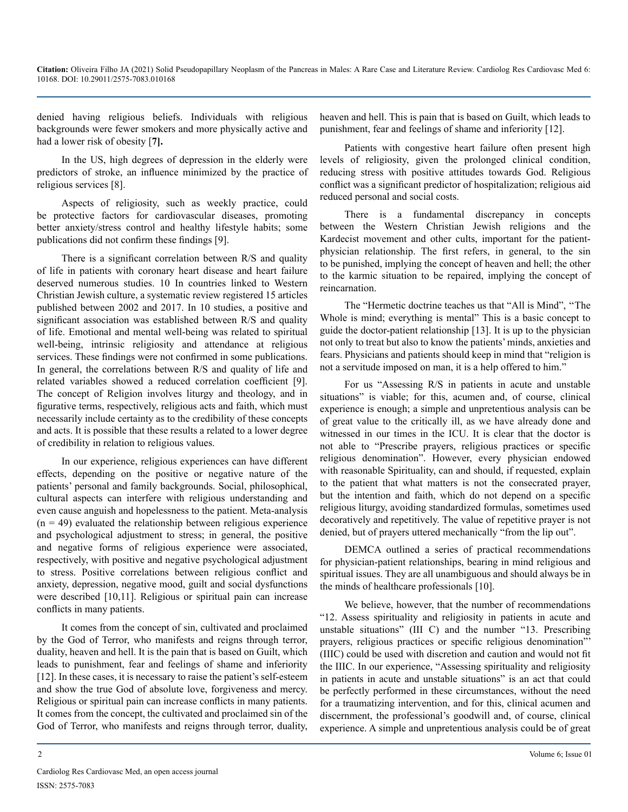denied having religious beliefs. Individuals with religious backgrounds were fewer smokers and more physically active and had a lower risk of obesity [**7].**

In the US, high degrees of depression in the elderly were predictors of stroke, an influence minimized by the practice of religious services [8].

Aspects of religiosity, such as weekly practice, could be protective factors for cardiovascular diseases, promoting better anxiety/stress control and healthy lifestyle habits; some publications did not confirm these findings [9].

There is a significant correlation between R/S and quality of life in patients with coronary heart disease and heart failure deserved numerous studies. 10 In countries linked to Western Christian Jewish culture, a systematic review registered 15 articles published between 2002 and 2017. In 10 studies, a positive and significant association was established between R/S and quality of life. Emotional and mental well-being was related to spiritual well-being, intrinsic religiosity and attendance at religious services. These findings were not confirmed in some publications. In general, the correlations between R/S and quality of life and related variables showed a reduced correlation coefficient [9]. The concept of Religion involves liturgy and theology, and in figurative terms, respectively, religious acts and faith, which must necessarily include certainty as to the credibility of these concepts and acts. It is possible that these results a related to a lower degree of credibility in relation to religious values.

In our experience, religious experiences can have different effects, depending on the positive or negative nature of the patients' personal and family backgrounds. Social, philosophical, cultural aspects can interfere with religious understanding and even cause anguish and hopelessness to the patient. Meta-analysis  $(n = 49)$  evaluated the relationship between religious experience and psychological adjustment to stress; in general, the positive and negative forms of religious experience were associated, respectively, with positive and negative psychological adjustment to stress. Positive correlations between religious conflict and anxiety, depression, negative mood, guilt and social dysfunctions were described [10,11]. Religious or spiritual pain can increase conflicts in many patients.

It comes from the concept of sin, cultivated and proclaimed by the God of Terror, who manifests and reigns through terror, duality, heaven and hell. It is the pain that is based on Guilt, which leads to punishment, fear and feelings of shame and inferiority [12]. In these cases, it is necessary to raise the patient's self-esteem and show the true God of absolute love, forgiveness and mercy. Religious or spiritual pain can increase conflicts in many patients. It comes from the concept, the cultivated and proclaimed sin of the God of Terror, who manifests and reigns through terror, duality,

heaven and hell. This is pain that is based on Guilt, which leads to punishment, fear and feelings of shame and inferiority [12].

Patients with congestive heart failure often present high levels of religiosity, given the prolonged clinical condition, reducing stress with positive attitudes towards God. Religious conflict was a significant predictor of hospitalization; religious aid reduced personal and social costs.

There is a fundamental discrepancy in concepts between the Western Christian Jewish religions and the Kardecist movement and other cults, important for the patientphysician relationship. The first refers, in general, to the sin to be punished, implying the concept of heaven and hell; the other to the karmic situation to be repaired, implying the concept of reincarnation.

The "Hermetic doctrine teaches us that "All is Mind", ''The Whole is mind; everything is mental" This is a basic concept to guide the doctor-patient relationship [13]. It is up to the physician not only to treat but also to know the patients' minds, anxieties and fears. Physicians and patients should keep in mind that "religion is not a servitude imposed on man, it is a help offered to him."

For us "Assessing R/S in patients in acute and unstable situations" is viable; for this, acumen and, of course, clinical experience is enough; a simple and unpretentious analysis can be of great value to the critically ill, as we have already done and witnessed in our times in the ICU. It is clear that the doctor is not able to "Prescribe prayers, religious practices or specific religious denomination". However, every physician endowed with reasonable Spirituality, can and should, if requested, explain to the patient that what matters is not the consecrated prayer, but the intention and faith, which do not depend on a specific religious liturgy, avoiding standardized formulas, sometimes used decoratively and repetitively. The value of repetitive prayer is not denied, but of prayers uttered mechanically "from the lip out".

DEMCA outlined a series of practical recommendations for physician-patient relationships, bearing in mind religious and spiritual issues. They are all unambiguous and should always be in the minds of healthcare professionals [10].

We believe, however, that the number of recommendations "12. Assess spirituality and religiosity in patients in acute and unstable situations" (III C) and the number "13. Prescribing prayers, religious practices or specific religious denomination"' (IIIC) could be used with discretion and caution and would not fit the IIIC. In our experience, "Assessing spirituality and religiosity in patients in acute and unstable situations" is an act that could be perfectly performed in these circumstances, without the need for a traumatizing intervention, and for this, clinical acumen and discernment, the professional's goodwill and, of course, clinical experience. A simple and unpretentious analysis could be of great